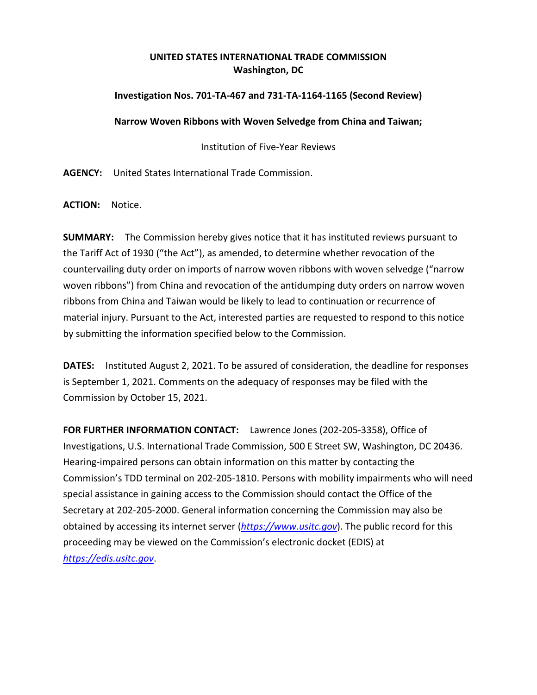## **UNITED STATES INTERNATIONAL TRADE COMMISSION Washington, DC**

## **Investigation Nos. 701-TA-467 and 731-TA-1164-1165 (Second Review)**

## **Narrow Woven Ribbons with Woven Selvedge from China and Taiwan;**

Institution of Five-Year Reviews

**AGENCY:** United States International Trade Commission.

**ACTION:** Notice.

**SUMMARY:** The Commission hereby gives notice that it has instituted reviews pursuant to the Tariff Act of 1930 ("the Act"), as amended, to determine whether revocation of the countervailing duty order on imports of narrow woven ribbons with woven selvedge ("narrow woven ribbons") from China and revocation of the antidumping duty orders on narrow woven ribbons from China and Taiwan would be likely to lead to continuation or recurrence of material injury. Pursuant to the Act, interested parties are requested to respond to this notice by submitting the information specified below to the Commission.

**DATES:** Instituted August 2, 2021. To be assured of consideration, the deadline for responses is September 1, 2021. Comments on the adequacy of responses may be filed with the Commission by October 15, 2021.

**FOR FURTHER INFORMATION CONTACT:** Lawrence Jones (202-205-3358), Office of Investigations, U.S. International Trade Commission, 500 E Street SW, Washington, DC 20436. Hearing-impaired persons can obtain information on this matter by contacting the Commission's TDD terminal on 202-205-1810. Persons with mobility impairments who will need special assistance in gaining access to the Commission should contact the Office of the Secretary at 202-205-2000. General information concerning the Commission may also be obtained by accessing its internet server (*[https://www.usitc.gov](https://www.usitc.gov/)*). The public record for this proceeding may be viewed on the Commission's electronic docket (EDIS) at *[https://edis.usitc.gov](https://edis.usitc.gov/)*.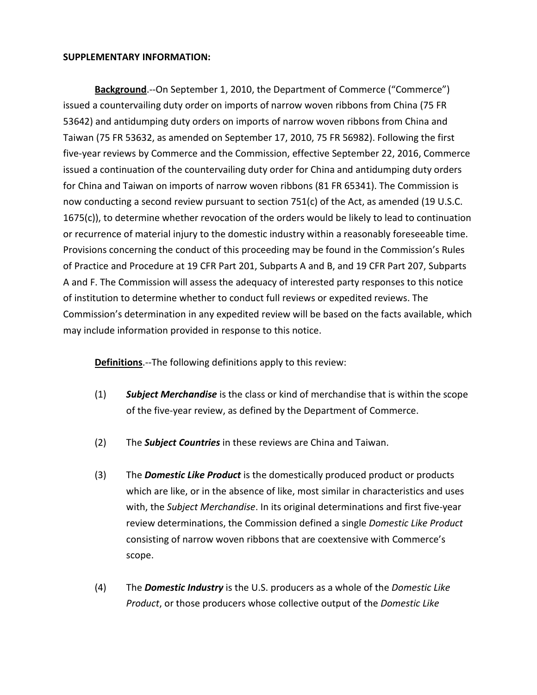## **SUPPLEMENTARY INFORMATION:**

**Background**.--On September 1, 2010, the Department of Commerce ("Commerce") issued a countervailing duty order on imports of narrow woven ribbons from China (75 FR 53642) and antidumping duty orders on imports of narrow woven ribbons from China and Taiwan (75 FR 53632, as amended on September 17, 2010, 75 FR 56982). Following the first five-year reviews by Commerce and the Commission, effective September 22, 2016, Commerce issued a continuation of the countervailing duty order for China and antidumping duty orders for China and Taiwan on imports of narrow woven ribbons (81 FR 65341). The Commission is now conducting a second review pursuant to section 751(c) of the Act, as amended (19 U.S.C. 1675(c)), to determine whether revocation of the orders would be likely to lead to continuation or recurrence of material injury to the domestic industry within a reasonably foreseeable time. Provisions concerning the conduct of this proceeding may be found in the Commission's Rules of Practice and Procedure at 19 CFR Part 201, Subparts A and B, and 19 CFR Part 207, Subparts A and F. The Commission will assess the adequacy of interested party responses to this notice of institution to determine whether to conduct full reviews or expedited reviews. The Commission's determination in any expedited review will be based on the facts available, which may include information provided in response to this notice.

**Definitions**.--The following definitions apply to this review:

- (1) *Subject Merchandise* is the class or kind of merchandise that is within the scope of the five-year review, as defined by the Department of Commerce.
- (2) The *Subject Countries* in these reviews are China and Taiwan.
- (3) The *Domestic Like Product* is the domestically produced product or products which are like, or in the absence of like, most similar in characteristics and uses with, the *Subject Merchandise*. In its original determinations and first five-year review determinations, the Commission defined a single *Domestic Like Product* consisting of narrow woven ribbons that are coextensive with Commerce's scope.
- (4) The *Domestic Industry* is the U.S. producers as a whole of the *Domestic Like Product*, or those producers whose collective output of the *Domestic Like*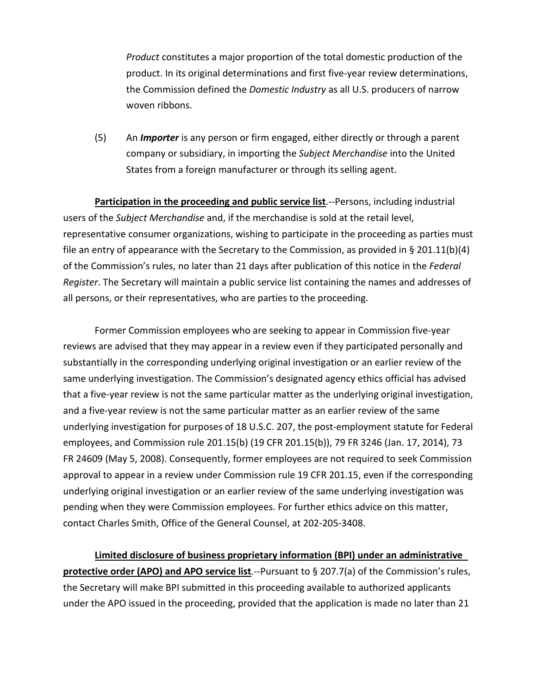*Product* constitutes a major proportion of the total domestic production of the product. In its original determinations and first five-year review determinations, the Commission defined the *Domestic Industry* as all U.S. producers of narrow woven ribbons.

(5) An *Importer* is any person or firm engaged, either directly or through a parent company or subsidiary, in importing the *Subject Merchandise* into the United States from a foreign manufacturer or through its selling agent.

**Participation in the proceeding and public service list**.--Persons, including industrial users of the *Subject Merchandise* and, if the merchandise is sold at the retail level, representative consumer organizations, wishing to participate in the proceeding as parties must file an entry of appearance with the Secretary to the Commission, as provided in § 201.11(b)(4) of the Commission's rules, no later than 21 days after publication of this notice in the *Federal Register*. The Secretary will maintain a public service list containing the names and addresses of all persons, or their representatives, who are parties to the proceeding.

Former Commission employees who are seeking to appear in Commission five-year reviews are advised that they may appear in a review even if they participated personally and substantially in the corresponding underlying original investigation or an earlier review of the same underlying investigation. The Commission's designated agency ethics official has advised that a five-year review is not the same particular matter as the underlying original investigation, and a five-year review is not the same particular matter as an earlier review of the same underlying investigation for purposes of 18 U.S.C. 207, the post-employment statute for Federal employees, and Commission rule 201.15(b) (19 CFR 201.15(b)), 79 FR 3246 (Jan. 17, 2014), 73 FR 24609 (May 5, 2008). Consequently, former employees are not required to seek Commission approval to appear in a review under Commission rule 19 CFR 201.15, even if the corresponding underlying original investigation or an earlier review of the same underlying investigation was pending when they were Commission employees. For further ethics advice on this matter, contact Charles Smith, Office of the General Counsel, at 202-205-3408.

**Limited disclosure of business proprietary information (BPI) under an administrative protective order (APO) and APO service list**.--Pursuant to § 207.7(a) of the Commission's rules, the Secretary will make BPI submitted in this proceeding available to authorized applicants under the APO issued in the proceeding, provided that the application is made no later than 21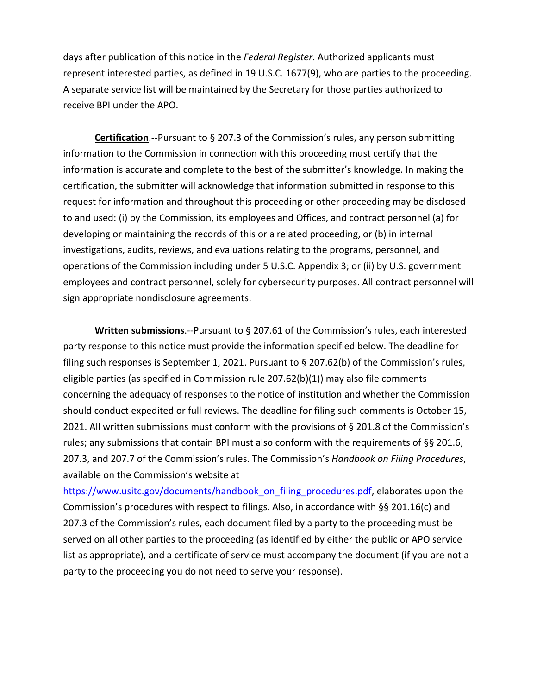days after publication of this notice in the *Federal Register*. Authorized applicants must represent interested parties, as defined in 19 U.S.C. 1677(9), who are parties to the proceeding. A separate service list will be maintained by the Secretary for those parties authorized to receive BPI under the APO.

**Certification**.--Pursuant to § 207.3 of the Commission's rules, any person submitting information to the Commission in connection with this proceeding must certify that the information is accurate and complete to the best of the submitter's knowledge. In making the certification, the submitter will acknowledge that information submitted in response to this request for information and throughout this proceeding or other proceeding may be disclosed to and used: (i) by the Commission, its employees and Offices, and contract personnel (a) for developing or maintaining the records of this or a related proceeding, or (b) in internal investigations, audits, reviews, and evaluations relating to the programs, personnel, and operations of the Commission including under 5 U.S.C. Appendix 3; or (ii) by U.S. government employees and contract personnel, solely for cybersecurity purposes. All contract personnel will sign appropriate nondisclosure agreements.

**Written submissions**.--Pursuant to § 207.61 of the Commission's rules, each interested party response to this notice must provide the information specified below. The deadline for filing such responses is September 1, 2021. Pursuant to § 207.62(b) of the Commission's rules, eligible parties (as specified in Commission rule 207.62(b)(1)) may also file comments concerning the adequacy of responses to the notice of institution and whether the Commission should conduct expedited or full reviews. The deadline for filing such comments is October 15, 2021. All written submissions must conform with the provisions of § 201.8 of the Commission's rules; any submissions that contain BPI must also conform with the requirements of §§ 201.6, 207.3, and 207.7 of the Commission's rules. The Commission's *Handbook on Filing Procedures*, available on the Commission's website at

[https://www.usitc.gov/documents/handbook\\_on\\_filing\\_procedures.pdf,](https://www.usitc.gov/documents/handbook_on_filing_procedures.pdf) elaborates upon the Commission's procedures with respect to filings. Also, in accordance with §§ 201.16(c) and 207.3 of the Commission's rules, each document filed by a party to the proceeding must be served on all other parties to the proceeding (as identified by either the public or APO service list as appropriate), and a certificate of service must accompany the document (if you are not a party to the proceeding you do not need to serve your response).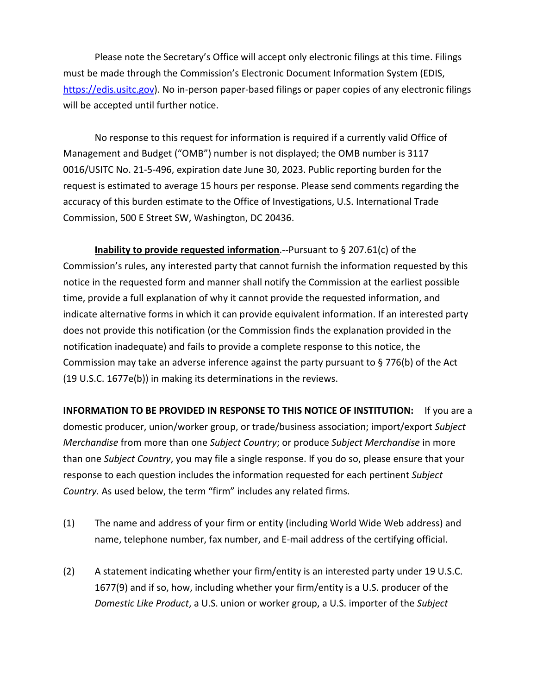Please note the Secretary's Office will accept only electronic filings at this time. Filings must be made through the Commission's Electronic Document Information System (EDIS, [https://edis.usitc.gov\)](https://edis.usitc.gov/). No in-person paper-based filings or paper copies of any electronic filings will be accepted until further notice.

No response to this request for information is required if a currently valid Office of Management and Budget ("OMB") number is not displayed; the OMB number is 3117 0016/USITC No. 21-5-496, expiration date June 30, 2023. Public reporting burden for the request is estimated to average 15 hours per response. Please send comments regarding the accuracy of this burden estimate to the Office of Investigations, U.S. International Trade Commission, 500 E Street SW, Washington, DC 20436.

**Inability to provide requested information**.--Pursuant to § 207.61(c) of the Commission's rules, any interested party that cannot furnish the information requested by this notice in the requested form and manner shall notify the Commission at the earliest possible time, provide a full explanation of why it cannot provide the requested information, and indicate alternative forms in which it can provide equivalent information. If an interested party does not provide this notification (or the Commission finds the explanation provided in the notification inadequate) and fails to provide a complete response to this notice, the Commission may take an adverse inference against the party pursuant to § 776(b) of the Act (19 U.S.C. 1677e(b)) in making its determinations in the reviews.

**INFORMATION TO BE PROVIDED IN RESPONSE TO THIS NOTICE OF INSTITUTION:** If you are a domestic producer, union/worker group, or trade/business association; import/export *Subject Merchandise* from more than one *Subject Country*; or produce *Subject Merchandise* in more than one *Subject Country*, you may file a single response. If you do so, please ensure that your response to each question includes the information requested for each pertinent *Subject Country.* As used below, the term "firm" includes any related firms.

- (1) The name and address of your firm or entity (including World Wide Web address) and name, telephone number, fax number, and E-mail address of the certifying official.
- (2) A statement indicating whether your firm/entity is an interested party under 19 U.S.C. 1677(9) and if so, how, including whether your firm/entity is a U.S. producer of the *Domestic Like Product*, a U.S. union or worker group, a U.S. importer of the *Subject*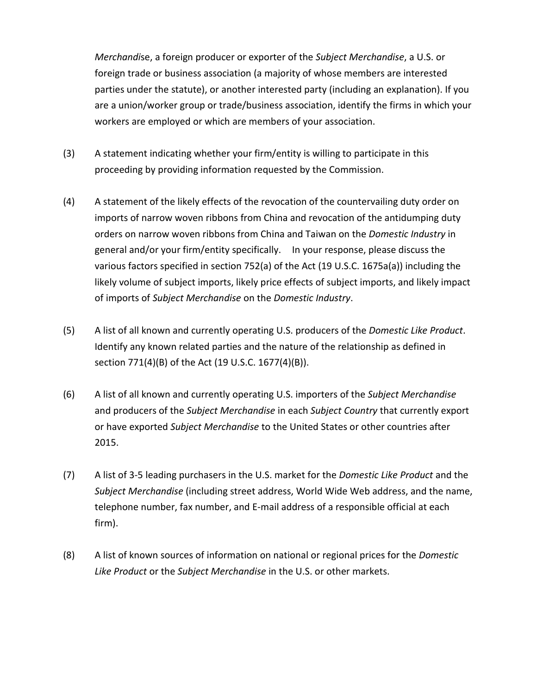*Merchandi*se, a foreign producer or exporter of the *Subject Merchandise*, a U.S. or foreign trade or business association (a majority of whose members are interested parties under the statute), or another interested party (including an explanation). If you are a union/worker group or trade/business association, identify the firms in which your workers are employed or which are members of your association.

- (3) A statement indicating whether your firm/entity is willing to participate in this proceeding by providing information requested by the Commission.
- (4) A statement of the likely effects of the revocation of the countervailing duty order on imports of narrow woven ribbons from China and revocation of the antidumping duty orders on narrow woven ribbons from China and Taiwan on the *Domestic Industry* in general and/or your firm/entity specifically. In your response, please discuss the various factors specified in section 752(a) of the Act (19 U.S.C. 1675a(a)) including the likely volume of subject imports, likely price effects of subject imports, and likely impact of imports of *Subject Merchandise* on the *Domestic Industry*.
- (5) A list of all known and currently operating U.S. producers of the *Domestic Like Product*. Identify any known related parties and the nature of the relationship as defined in section 771(4)(B) of the Act (19 U.S.C. 1677(4)(B)).
- (6) A list of all known and currently operating U.S. importers of the *Subject Merchandise* and producers of the *Subject Merchandise* in each *Subject Country* that currently export or have exported *Subject Merchandise* to the United States or other countries after 2015.
- (7) A list of 3-5 leading purchasers in the U.S. market for the *Domestic Like Product* and the *Subject Merchandise* (including street address, World Wide Web address, and the name, telephone number, fax number, and E-mail address of a responsible official at each firm).
- (8) A list of known sources of information on national or regional prices for the *Domestic Like Product* or the *Subject Merchandise* in the U.S. or other markets.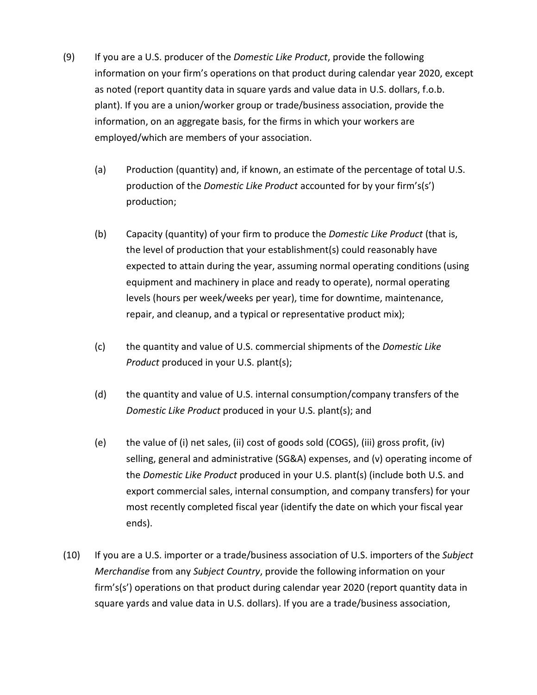- (9) If you are a U.S. producer of the *Domestic Like Product*, provide the following information on your firm's operations on that product during calendar year 2020, except as noted (report quantity data in square yards and value data in U.S. dollars, f.o.b. plant). If you are a union/worker group or trade/business association, provide the information, on an aggregate basis, for the firms in which your workers are employed/which are members of your association.
	- (a) Production (quantity) and, if known, an estimate of the percentage of total U.S. production of the *Domestic Like Product* accounted for by your firm's(s') production;
	- (b) Capacity (quantity) of your firm to produce the *Domestic Like Product* (that is, the level of production that your establishment(s) could reasonably have expected to attain during the year, assuming normal operating conditions (using equipment and machinery in place and ready to operate), normal operating levels (hours per week/weeks per year), time for downtime, maintenance, repair, and cleanup, and a typical or representative product mix);
	- (c) the quantity and value of U.S. commercial shipments of the *Domestic Like Product* produced in your U.S. plant(s);
	- (d) the quantity and value of U.S. internal consumption/company transfers of the *Domestic Like Product* produced in your U.S. plant(s); and
	- (e) the value of (i) net sales, (ii) cost of goods sold (COGS), (iii) gross profit, (iv) selling, general and administrative (SG&A) expenses, and (v) operating income of the *Domestic Like Product* produced in your U.S. plant(s) (include both U.S. and export commercial sales, internal consumption, and company transfers) for your most recently completed fiscal year (identify the date on which your fiscal year ends).
- (10) If you are a U.S. importer or a trade/business association of U.S. importers of the *Subject Merchandise* from any *Subject Country*, provide the following information on your firm's(s') operations on that product during calendar year 2020 (report quantity data in square yards and value data in U.S. dollars). If you are a trade/business association,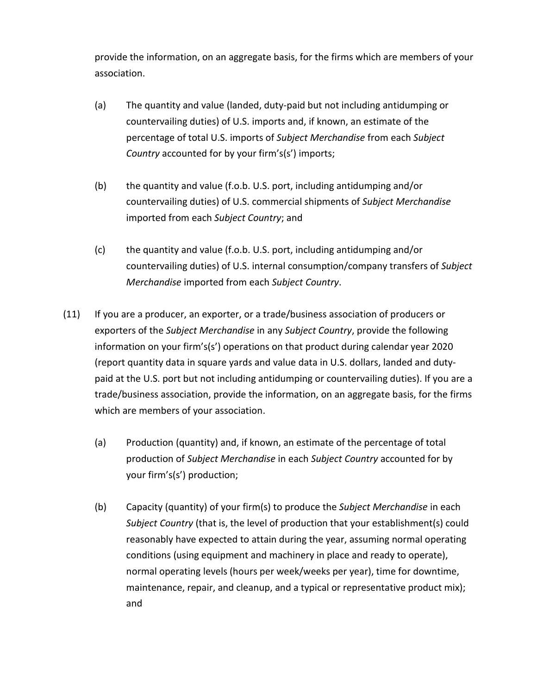provide the information, on an aggregate basis, for the firms which are members of your association.

- (a) The quantity and value (landed, duty-paid but not including antidumping or countervailing duties) of U.S. imports and, if known, an estimate of the percentage of total U.S. imports of *Subject Merchandise* from each *Subject Country* accounted for by your firm's(s') imports;
- (b) the quantity and value (f.o.b. U.S. port, including antidumping and/or countervailing duties) of U.S. commercial shipments of *Subject Merchandise* imported from each *Subject Country*; and
- (c) the quantity and value (f.o.b. U.S. port, including antidumping and/or countervailing duties) of U.S. internal consumption/company transfers of *Subject Merchandise* imported from each *Subject Country*.
- (11) If you are a producer, an exporter, or a trade/business association of producers or exporters of the *Subject Merchandise* in any *Subject Country*, provide the following information on your firm's(s') operations on that product during calendar year 2020 (report quantity data in square yards and value data in U.S. dollars, landed and dutypaid at the U.S. port but not including antidumping or countervailing duties). If you are a trade/business association, provide the information, on an aggregate basis, for the firms which are members of your association.
	- (a) Production (quantity) and, if known, an estimate of the percentage of total production of *Subject Merchandise* in each *Subject Country* accounted for by your firm's(s') production;
	- (b) Capacity (quantity) of your firm(s) to produce the *Subject Merchandise* in each *Subject Country* (that is, the level of production that your establishment(s) could reasonably have expected to attain during the year, assuming normal operating conditions (using equipment and machinery in place and ready to operate), normal operating levels (hours per week/weeks per year), time for downtime, maintenance, repair, and cleanup, and a typical or representative product mix); and